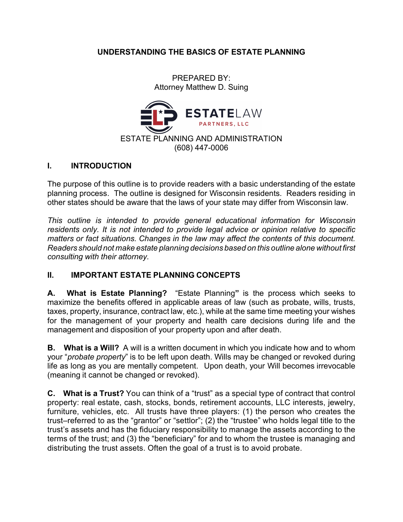## **UNDERSTANDING THE BASICS OF ESTATE PLANNING**

PREPARED BY: Attorney Matthew D. Suing



#### **I. INTRODUCTION**

The purpose of this outline is to provide readers with a basic understanding of the estate planning process. The outline is designed for Wisconsin residents. Readers residing in other states should be aware that the laws of your state may differ from Wisconsin law.

*This outline is intended to provide general educational information for Wisconsin residents only. It is not intended to provide legal advice or opinion relative to specific matters or fact situations. Changes in the law may affect the contents of this document. Readers should not make estate planning decisions based on this outline alone without first consulting with their attorney.*

## **II. IMPORTANT ESTATE PLANNING CONCEPTS**

**A. What is Estate Planning?** "Estate Planning**"** is the process which seeks to maximize the benefits offered in applicable areas of law (such as probate, wills, trusts, taxes, property, insurance, contract law, etc.), while at the same time meeting your wishes for the management of your property and health care decisions during life and the management and disposition of your property upon and after death.

**B. What is a Will?** A will is a written document in which you indicate how and to whom your "*probate property*" is to be left upon death. Wills may be changed or revoked during life as long as you are mentally competent. Upon death, your Will becomes irrevocable (meaning it cannot be changed or revoked).

**C. What is a Trust?** You can think of a "trust" as a special type of contract that control property: real estate, cash, stocks, bonds, retirement accounts, LLC interests, jewelry, furniture, vehicles, etc. All trusts have three players: (1) the person who creates the trust–referred to as the "grantor" or "settlor"; (2) the "trustee" who holds legal title to the trust's assets and has the fiduciary responsibility to manage the assets according to the terms of the trust; and (3) the "beneficiary" for and to whom the trustee is managing and distributing the trust assets. Often the goal of a trust is to avoid probate.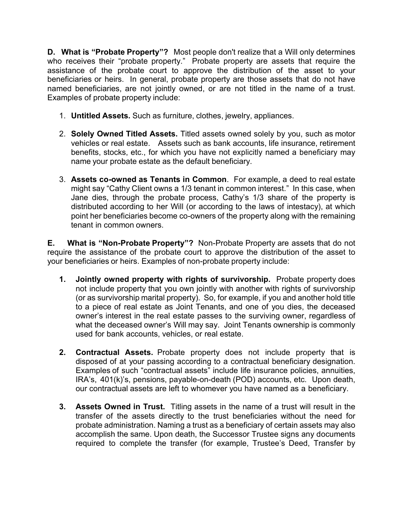**D. What is "Probate Property"?** Most people don't realize that a Will only determines who receives their "probate property." Probate property are assets that require the assistance of the probate court to approve the distribution of the asset to your beneficiaries or heirs. In general, probate property are those assets that do not have named beneficiaries, are not jointly owned, or are not titled in the name of a trust. Examples of probate property include:

- 1. **Untitled Assets.** Such as furniture, clothes, jewelry, appliances.
- 2. **Solely Owned Titled Assets.** Titled assets owned solely by you, such as motor vehicles or real estate. Assets such as bank accounts, life insurance, retirement benefits, stocks, etc., for which you have not explicitly named a beneficiary may name your probate estate as the default beneficiary.
- 3. **Assets co-owned as Tenants in Common**. For example, a deed to real estate might say "Cathy Client owns a 1/3 tenant in common interest." In this case, when Jane dies, through the probate process, Cathy's 1/3 share of the property is distributed according to her Will (or according to the laws of intestacy), at which point her beneficiaries become co-owners of the property along with the remaining tenant in common owners.

**E. What is "Non-Probate Property"?** Non-Probate Property are assets that do not require the assistance of the probate court to approve the distribution of the asset to your beneficiaries or heirs. Examples of non-probate property include:

- **1. Jointly owned property with rights of survivorship.** Probate property does not include property that you own jointly with another with rights of survivorship (or as survivorship marital property). So, for example, if you and another hold title to a piece of real estate as Joint Tenants, and one of you dies, the deceased owner's interest in the real estate passes to the surviving owner, regardless of what the deceased owner's Will may say. Joint Tenants ownership is commonly used for bank accounts, vehicles, or real estate.
- **2. Contractual Assets.** Probate property does not include property that is disposed of at your passing according to a contractual beneficiary designation. Examples of such "contractual assets" include life insurance policies, annuities, IRA's, 401(k)'s, pensions, payable-on-death (POD) accounts, etc. Upon death, our contractual assets are left to whomever you have named as a beneficiary.
- **3. Assets Owned in Trust.** Titling assets in the name of a trust will result in the transfer of the assets directly to the trust beneficiaries without the need for probate administration. Naming a trust as a beneficiary of certain assets may also accomplish the same. Upon death, the Successor Trustee signs any documents required to complete the transfer (for example, Trustee's Deed, Transfer by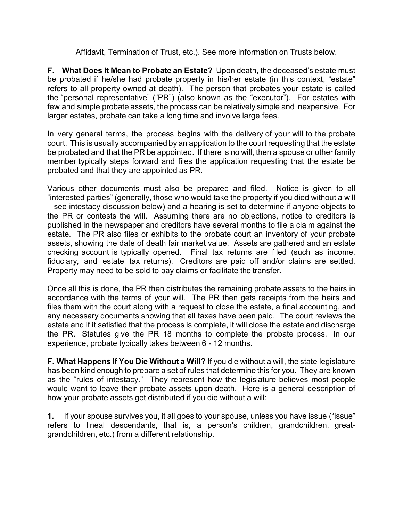#### Affidavit, Termination of Trust, etc.). See more information on Trusts below.

**F. What Does It Mean to Probate an Estate?** Upon death, the deceased's estate must be probated if he/she had probate property in his/her estate (in this context, "estate" refers to all property owned at death). The person that probates your estate is called the "personal representative" ("PR") (also known as the "executor"). For estates with few and simple probate assets, the process can be relatively simple and inexpensive. For larger estates, probate can take a long time and involve large fees.

In very general terms, the process begins with the delivery of your will to the probate court. This is usually accompanied by an application to the court requesting that the estate be probated and that the PR be appointed. If there is no will, then a spouse or other family member typically steps forward and files the application requesting that the estate be probated and that they are appointed as PR.

Various other documents must also be prepared and filed. Notice is given to all "interested parties" (generally, those who would take the property if you died without a will – see intestacy discussion below) and a hearing is set to determine if anyone objects to the PR or contests the will. Assuming there are no objections, notice to creditors is published in the newspaper and creditors have several months to file a claim against the estate. The PR also files or exhibits to the probate court an inventory of your probate assets, showing the date of death fair market value. Assets are gathered and an estate checking account is typically opened. Final tax returns are filed (such as income, fiduciary, and estate tax returns). Creditors are paid off and/or claims are settled. Property may need to be sold to pay claims or facilitate the transfer.

Once all this is done, the PR then distributes the remaining probate assets to the heirs in accordance with the terms of your will. The PR then gets receipts from the heirs and files them with the court along with a request to close the estate, a final accounting, and any necessary documents showing that all taxes have been paid. The court reviews the estate and if it satisfied that the process is complete, it will close the estate and discharge the PR. Statutes give the PR 18 months to complete the probate process. In our experience, probate typically takes between 6 - 12 months.

**F. What Happens If You Die Without a Will?** If you die without a will, the state legislature has been kind enough to prepare a set of rules that determine this for you. They are known as the "rules of intestacy." They represent how the legislature believes most people would want to leave their probate assets upon death. Here is a general description of how your probate assets get distributed if you die without a will:

**1.** If your spouse survives you, it all goes to your spouse, unless you have issue ("issue" refers to lineal descendants, that is, a person's children, grandchildren, greatgrandchildren, etc.) from a different relationship.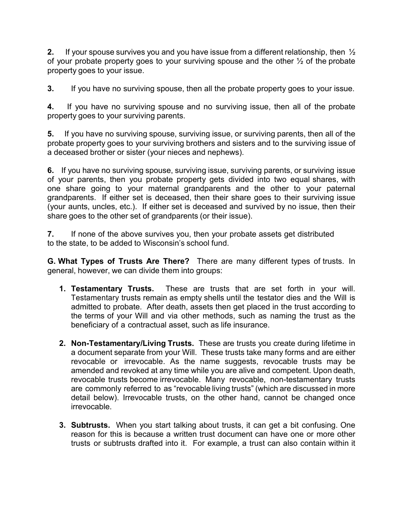**2.** If your spouse survives you and you have issue from a different relationship, then ½ of your probate property goes to your surviving spouse and the other ½ of the probate property goes to your issue.

**3.** If you have no surviving spouse, then all the probate property goes to your issue.

**4.** If you have no surviving spouse and no surviving issue, then all of the probate property goes to your surviving parents.

**5.** If you have no surviving spouse, surviving issue, or surviving parents, then all of the probate property goes to your surviving brothers and sisters and to the surviving issue of a deceased brother or sister (your nieces and nephews).

**6.** If you have no surviving spouse, surviving issue, surviving parents, or surviving issue of your parents, then you probate property gets divided into two equal shares, with one share going to your maternal grandparents and the other to your paternal grandparents. If either set is deceased, then their share goes to their surviving issue (your aunts, uncles, etc.). If either set is deceased and survived by no issue, then their share goes to the other set of grandparents (or their issue).

**7.** If none of the above survives you, then your probate assets get distributed to the state, to be added to Wisconsin's school fund.

**G. What Types of Trusts Are There?** There are many different types of trusts. In general, however, we can divide them into groups:

- **1. Testamentary Trusts.** These are trusts that are set forth in your will. Testamentary trusts remain as empty shells until the testator dies and the Will is admitted to probate. After death, assets then get placed in the trust according to the terms of your Will and via other methods, such as naming the trust as the beneficiary of a contractual asset, such as life insurance.
- **2. Non-Testamentary/Living Trusts.** These are trusts you create during lifetime in a document separate from your Will. These trusts take many forms and are either revocable or irrevocable. As the name suggests, revocable trusts may be amended and revoked at any time while you are alive and competent. Upon death, revocable trusts become irrevocable. Many revocable, non-testamentary trusts are commonly referred to as "revocable living trusts" (which are discussed in more detail below). Irrevocable trusts, on the other hand, cannot be changed once irrevocable.
- **3. Subtrusts.** When you start talking about trusts, it can get a bit confusing. One reason for this is because a written trust document can have one or more other trusts or subtrusts drafted into it. For example, a trust can also contain within it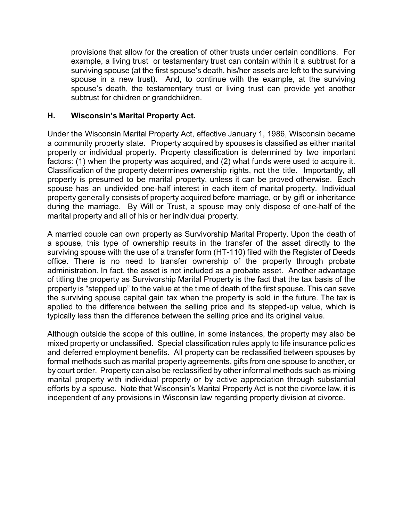provisions that allow for the creation of other trusts under certain conditions. For example, a living trust or testamentary trust can contain within it a subtrust for a surviving spouse (at the first spouse's death, his/her assets are left to the surviving spouse in a new trust). And, to continue with the example, at the surviving spouse's death, the testamentary trust or living trust can provide yet another subtrust for children or grandchildren.

#### **H. Wisconsin's Marital Property Act.**

Under the Wisconsin Marital Property Act, effective January 1, 1986, Wisconsin became a community property state. Property acquired by spouses is classified as either marital property or individual property. Property classification is determined by two important factors: (1) when the property was acquired, and (2) what funds were used to acquire it. Classification of the property determines ownership rights, not the title. Importantly, all property is presumed to be marital property, unless it can be proved otherwise. Each spouse has an undivided one-half interest in each item of marital property. Individual property generally consists of property acquired before marriage, or by gift or inheritance during the marriage. By Will or Trust, a spouse may only dispose of one-half of the marital property and all of his or her individual property.

A married couple can own property as Survivorship Marital Property. Upon the death of a spouse, this type of ownership results in the transfer of the asset directly to the surviving spouse with the use of a transfer form (HT-110) filed with the Register of Deeds office. There is no need to transfer ownership of the property through probate administration. In fact, the asset is not included as a probate asset. Another advantage of titling the property as Survivorship Marital Property is the fact that the tax basis of the property is "stepped up" to the value at the time of death of the first spouse. This can save the surviving spouse capital gain tax when the property is sold in the future. The tax is applied to the difference between the selling price and its stepped-up value, which is typically less than the difference between the selling price and its original value.

Although outside the scope of this outline, in some instances, the property may also be mixed property or unclassified. Special classification rules apply to life insurance policies and deferred employment benefits. All property can be reclassified between spouses by formal methods such as marital property agreements, gifts from one spouse to another, or by court order. Property can also be reclassified by other informal methods such as mixing marital property with individual property or by active appreciation through substantial efforts by a spouse. Note that Wisconsin's Marital Property Act is not the divorce law, it is independent of any provisions in Wisconsin law regarding property division at divorce.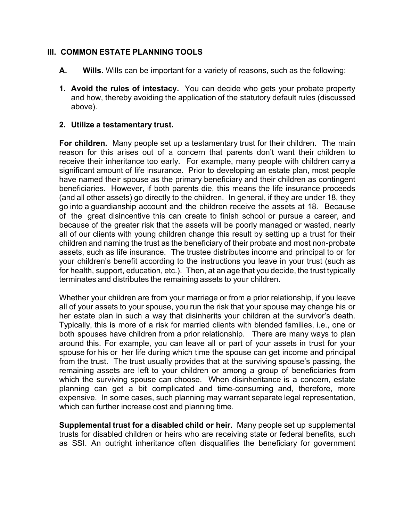#### **III. COMMON ESTATE PLANNING TOOLS**

- **A. Wills.** Wills can be important for a variety of reasons, such as the following:
- **1. Avoid the rules of intestacy.** You can decide who gets your probate property and how, thereby avoiding the application of the statutory default rules (discussed above).

#### **2. Utilize a testamentary trust.**

**For children.** Many people set up a testamentary trust for their children. The main reason for this arises out of a concern that parents don't want their children to receive their inheritance too early. For example, many people with children carry a significant amount of life insurance. Prior to developing an estate plan, most people have named their spouse as the primary beneficiary and their children as contingent beneficiaries. However, if both parents die, this means the life insurance proceeds (and all other assets) go directly to the children. In general, if they are under 18, they go into a guardianship account and the children receive the assets at 18. Because of the great disincentive this can create to finish school or pursue a career, and because of the greater risk that the assets will be poorly managed or wasted, nearly all of our clients with young children change this result by setting up a trust for their children and naming the trust as the beneficiary of their probate and most non-probate assets, such as life insurance. The trustee distributes income and principal to or for your children's benefit according to the instructions you leave in your trust (such as for health, support, education, etc.). Then, at an age that you decide, the trust typically terminates and distributes the remaining assets to your children.

Whether your children are from your marriage or from a prior relationship, if you leave all of your assets to your spouse, you run the risk that your spouse may change his or her estate plan in such a way that disinherits your children at the survivor's death. Typically, this is more of a risk for married clients with blended families, i.e., one or both spouses have children from a prior relationship. There are many ways to plan around this. For example, you can leave all or part of your assets in trust for your spouse for his or her life during which time the spouse can get income and principal from the trust. The trust usually provides that at the surviving spouse's passing, the remaining assets are left to your children or among a group of beneficiaries from which the surviving spouse can choose. When disinheritance is a concern, estate planning can get a bit complicated and time-consuming and, therefore, more expensive. In some cases, such planning may warrant separate legal representation, which can further increase cost and planning time.

**Supplemental trust for a disabled child or heir.** Many people set up supplemental trusts for disabled children or heirs who are receiving state or federal benefits, such as SSI. An outright inheritance often disqualifies the beneficiary for government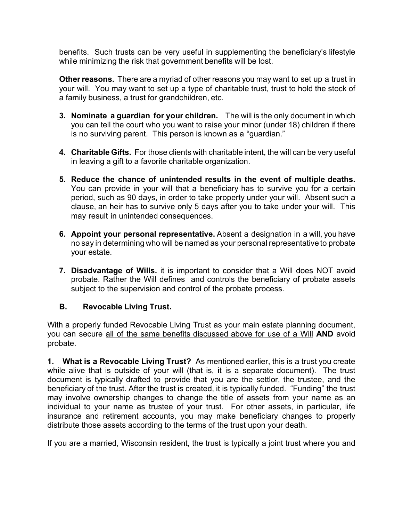benefits. Such trusts can be very useful in supplementing the beneficiary's lifestyle while minimizing the risk that government benefits will be lost.

**Other reasons.** There are a myriad of other reasons you may want to set up a trust in your will. You may want to set up a type of charitable trust, trust to hold the stock of a family business, a trust for grandchildren, etc.

- **3. Nominate a guardian for your children.** The will is the only document in which you can tell the court who you want to raise your minor (under 18) children if there is no surviving parent. This person is known as a "guardian."
- **4. Charitable Gifts.** For those clients with charitable intent, the will can be very useful in leaving a gift to a favorite charitable organization.
- **5. Reduce the chance of unintended results in the event of multiple deaths.**  You can provide in your will that a beneficiary has to survive you for a certain period, such as 90 days, in order to take property under your will. Absent such a clause, an heir has to survive only 5 days after you to take under your will. This may result in unintended consequences.
- **6. Appoint your personal representative.** Absent a designation in a will, you have no say in determining who will be named as your personal representative to probate your estate.
- **7. Disadvantage of Wills.** it is important to consider that a Will does NOT avoid probate. Rather the Will defines and controls the beneficiary of probate assets subject to the supervision and control of the probate process.

## **B. Revocable Living Trust.**

With a properly funded Revocable Living Trust as your main estate planning document, you can secure all of the same benefits discussed above for use of a Will **AND** avoid probate.

**1. What is a Revocable Living Trust?** As mentioned earlier, this is a trust you create while alive that is outside of your will (that is, it is a separate document). The trust document is typically drafted to provide that you are the settlor, the trustee, and the beneficiary of the trust. After the trust is created, it is typically funded. "Funding" the trust may involve ownership changes to change the title of assets from your name as an individual to your name as trustee of your trust. For other assets, in particular, life insurance and retirement accounts, you may make beneficiary changes to properly distribute those assets according to the terms of the trust upon your death.

If you are a married, Wisconsin resident, the trust is typically a joint trust where you and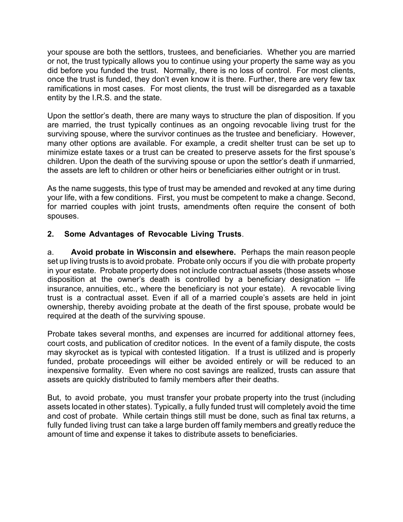your spouse are both the settlors, trustees, and beneficiaries. Whether you are married or not, the trust typically allows you to continue using your property the same way as you did before you funded the trust. Normally, there is no loss of control. For most clients, once the trust is funded, they don't even know it is there. Further, there are very few tax ramifications in most cases. For most clients, the trust will be disregarded as a taxable entity by the I.R.S. and the state.

Upon the settlor's death, there are many ways to structure the plan of disposition. If you are married, the trust typically continues as an ongoing revocable living trust for the surviving spouse, where the survivor continues as the trustee and beneficiary. However, many other options are available. For example, a credit shelter trust can be set up to minimize estate taxes or a trust can be created to preserve assets for the first spouse's children. Upon the death of the surviving spouse or upon the settlor's death if unmarried, the assets are left to children or other heirs or beneficiaries either outright or in trust.

As the name suggests, this type of trust may be amended and revoked at any time during your life, with a few conditions. First, you must be competent to make a change. Second, for married couples with joint trusts, amendments often require the consent of both spouses.

## **2. Some Advantages of Revocable Living Trusts**.

a. **Avoid probate in Wisconsin and elsewhere.** Perhaps the main reason people set up living trusts is to avoid probate. Probate only occurs if you die with probate property in your estate. Probate property does not include contractual assets (those assets whose disposition at the owner's death is controlled by a beneficiary designation  $-$  life insurance, annuities, etc., where the beneficiary is not your estate). A revocable living trust is a contractual asset. Even if all of a married couple's assets are held in joint ownership, thereby avoiding probate at the death of the first spouse, probate would be required at the death of the surviving spouse.

Probate takes several months, and expenses are incurred for additional attorney fees, court costs, and publication of creditor notices. In the event of a family dispute, the costs may skyrocket as is typical with contested litigation. If a trust is utilized and is properly funded, probate proceedings will either be avoided entirely or will be reduced to an inexpensive formality. Even where no cost savings are realized, trusts can assure that assets are quickly distributed to family members after their deaths.

But, to avoid probate, you must transfer your probate property into the trust (including assets located in other states). Typically, a fully funded trust will completely avoid the time and cost of probate. While certain things still must be done, such as final tax returns, a fully funded living trust can take a large burden off family members and greatly reduce the amount of time and expense it takes to distribute assets to beneficiaries.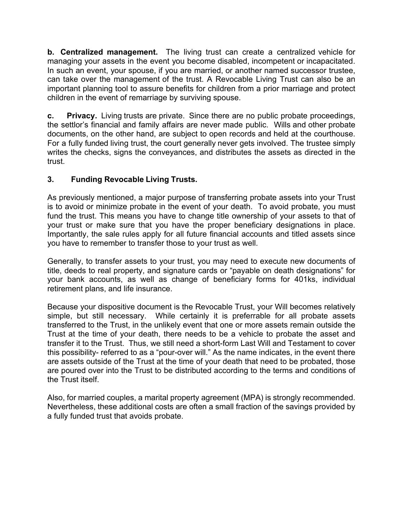**b. Centralized management.** The living trust can create a centralized vehicle for managing your assets in the event you become disabled, incompetent or incapacitated. In such an event, your spouse, if you are married, or another named successor trustee, can take over the management of the trust. A Revocable Living Trust can also be an important planning tool to assure benefits for children from a prior marriage and protect children in the event of remarriage by surviving spouse.

**c. Privacy.** Living trusts are private. Since there are no public probate proceedings, the settlor's financial and family affairs are never made public. Wills and other probate documents, on the other hand, are subject to open records and held at the courthouse. For a fully funded living trust, the court generally never gets involved. The trustee simply writes the checks, signs the conveyances, and distributes the assets as directed in the trust.

# **3. Funding Revocable Living Trusts.**

As previously mentioned, a major purpose of transferring probate assets into your Trust is to avoid or minimize probate in the event of your death. To avoid probate, you must fund the trust. This means you have to change title ownership of your assets to that of your trust or make sure that you have the proper beneficiary designations in place. Importantly, the sale rules apply for all future financial accounts and titled assets since you have to remember to transfer those to your trust as well.

Generally, to transfer assets to your trust, you may need to execute new documents of title, deeds to real property, and signature cards or "payable on death designations" for your bank accounts, as well as change of beneficiary forms for 401ks, individual retirement plans, and life insurance.

Because your dispositive document is the Revocable Trust, your Will becomes relatively simple, but still necessary. While certainly it is preferrable for all probate assets transferred to the Trust, in the unlikely event that one or more assets remain outside the Trust at the time of your death, there needs to be a vehicle to probate the asset and transfer it to the Trust. Thus, we still need a short-form Last Will and Testament to cover this possibility- referred to as a "pour-over will." As the name indicates, in the event there are assets outside of the Trust at the time of your death that need to be probated, those are poured over into the Trust to be distributed according to the terms and conditions of the Trust itself.

Also, for married couples, a marital property agreement (MPA) is strongly recommended. Nevertheless, these additional costs are often a small fraction of the savings provided by a fully funded trust that avoids probate.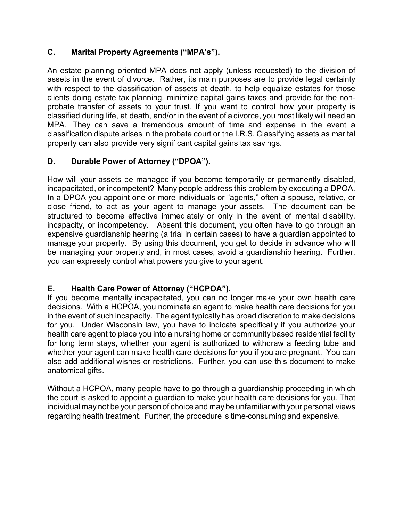## **C. Marital Property Agreements ("MPA's").**

An estate planning oriented MPA does not apply (unless requested) to the division of assets in the event of divorce. Rather, its main purposes are to provide legal certainty with respect to the classification of assets at death, to help equalize estates for those clients doing estate tax planning, minimize capital gains taxes and provide for the nonprobate transfer of assets to your trust. If you want to control how your property is classified during life, at death, and/or in the event of a divorce, you most likely will need an MPA. They can save a tremendous amount of time and expense in the event a classification dispute arises in the probate court or the I.R.S. Classifying assets as marital property can also provide very significant capital gains tax savings.

# **D. Durable Power of Attorney ("DPOA").**

How will your assets be managed if you become temporarily or permanently disabled, incapacitated, or incompetent? Many people address this problem by executing a DPOA. In a DPOA you appoint one or more individuals or "agents," often a spouse, relative, or close friend, to act as your agent to manage your assets. The document can be structured to become effective immediately or only in the event of mental disability, incapacity, or incompetency. Absent this document, you often have to go through an expensive guardianship hearing (a trial in certain cases) to have a guardian appointed to manage your property. By using this document, you get to decide in advance who will be managing your property and, in most cases, avoid a guardianship hearing. Further, you can expressly control what powers you give to your agent.

## **E. Health Care Power of Attorney ("HCPOA").**

If you become mentally incapacitated, you can no longer make your own health care decisions. With a HCPOA, you nominate an agent to make health care decisions for you in the event of such incapacity. The agent typically has broad discretion to make decisions for you. Under Wisconsin law, you have to indicate specifically if you authorize your health care agent to place you into a nursing home or community based residential facility for long term stays, whether your agent is authorized to withdraw a feeding tube and whether your agent can make health care decisions for you if you are pregnant. You can also add additional wishes or restrictions. Further, you can use this document to make anatomical gifts.

Without a HCPOA, many people have to go through a guardianship proceeding in which the court is asked to appoint a guardian to make your health care decisions for you. That individual may not be your person of choice and may be unfamiliar with your personal views regarding health treatment. Further, the procedure is time-consuming and expensive.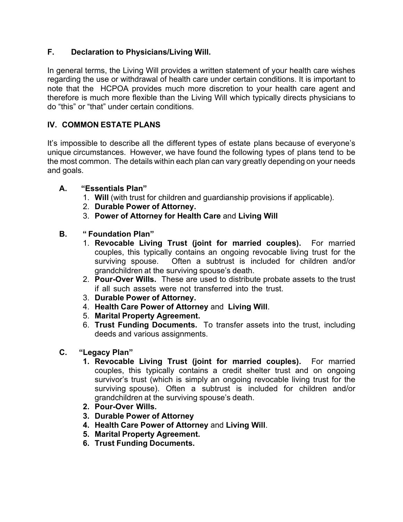## **F. Declaration to Physicians/Living Will.**

In general terms, the Living Will provides a written statement of your health care wishes regarding the use or withdrawal of health care under certain conditions. It is important to note that the HCPOA provides much more discretion to your health care agent and therefore is much more flexible than the Living Will which typically directs physicians to do "this" or "that" under certain conditions.

## **IV. COMMON ESTATE PLANS**

It's impossible to describe all the different types of estate plans because of everyone's unique circumstances. However, we have found the following types of plans tend to be the most common. The details within each plan can vary greatly depending on your needs and goals.

- **A. "Essentials Plan"**
	- 1. **Will** (with trust for children and guardianship provisions if applicable).
	- 2. **Durable Power of Attorney.**
	- 3. **Power of Attorney for Health Care** and **Living Will**
- **B. " Foundation Plan"**
	- 1. **Revocable Living Trust (joint for married couples).** For married couples, this typically contains an ongoing revocable living trust for the surviving spouse. Often a subtrust is included for children and/or grandchildren at the surviving spouse's death.
	- 2. **Pour-Over Wills.** These are used to distribute probate assets to the trust if all such assets were not transferred into the trust.
	- 3. **Durable Power of Attorney.**
	- 4. **Health Care Power of Attorney** and **Living Will**.
	- 5. **Marital Property Agreement.**
	- 6. **Trust Funding Documents.** To transfer assets into the trust, including deeds and various assignments.
- **C. "Legacy Plan"**
	- **1. Revocable Living Trust (joint for married couples).** For married couples, this typically contains a credit shelter trust and on ongoing survivor's trust (which is simply an ongoing revocable living trust for the surviving spouse). Often a subtrust is included for children and/or grandchildren at the surviving spouse's death.
	- **2. Pour-Over Wills.**
	- **3. Durable Power of Attorney**
	- **4. Health Care Power of Attorney** and **Living Will**.
	- **5. Marital Property Agreement.**
	- **6. Trust Funding Documents.**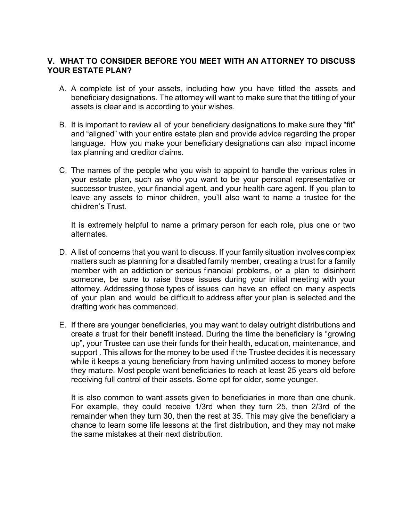#### **V. WHAT TO CONSIDER BEFORE YOU MEET WITH AN ATTORNEY TO DISCUSS YOUR ESTATE PLAN?**

- A. A complete list of your assets, including how you have titled the assets and beneficiary designations. The attorney will want to make sure that the titling of your assets is clear and is according to your wishes.
- B. It is important to review all of your beneficiary designations to make sure they "fit" and "aligned" with your entire estate plan and provide advice regarding the proper language. How you make your beneficiary designations can also impact income tax planning and creditor claims.
- C. The names of the people who you wish to appoint to handle the various roles in your estate plan, such as who you want to be your personal representative or successor trustee, your financial agent, and your health care agent. If you plan to leave any assets to minor children, you'll also want to name a trustee for the children's Trust.

It is extremely helpful to name a primary person for each role, plus one or two alternates.

- D. A list of concerns that you want to discuss. If your family situation involves complex matters such as planning for a disabled family member, creating a trust for a family member with an addiction or serious financial problems, or a plan to disinherit someone, be sure to raise those issues during your initial meeting with your attorney. Addressing those types of issues can have an effect on many aspects of your plan and would be difficult to address after your plan is selected and the drafting work has commenced.
- E. If there are younger beneficiaries, you may want to delay outright distributions and create a trust for their benefit instead. During the time the beneficiary is "growing up", your Trustee can use their funds for their health, education, maintenance, and support . This allows for the money to be used if the Trustee decides it is necessary while it keeps a young beneficiary from having unlimited access to money before they mature. Most people want beneficiaries to reach at least 25 years old before receiving full control of their assets. Some opt for older, some younger.

It is also common to want assets given to beneficiaries in more than one chunk. For example, they could receive 1/3rd when they turn 25, then 2/3rd of the remainder when they turn 30, then the rest at 35. This may give the beneficiary a chance to learn some life lessons at the first distribution, and they may not make the same mistakes at their next distribution.